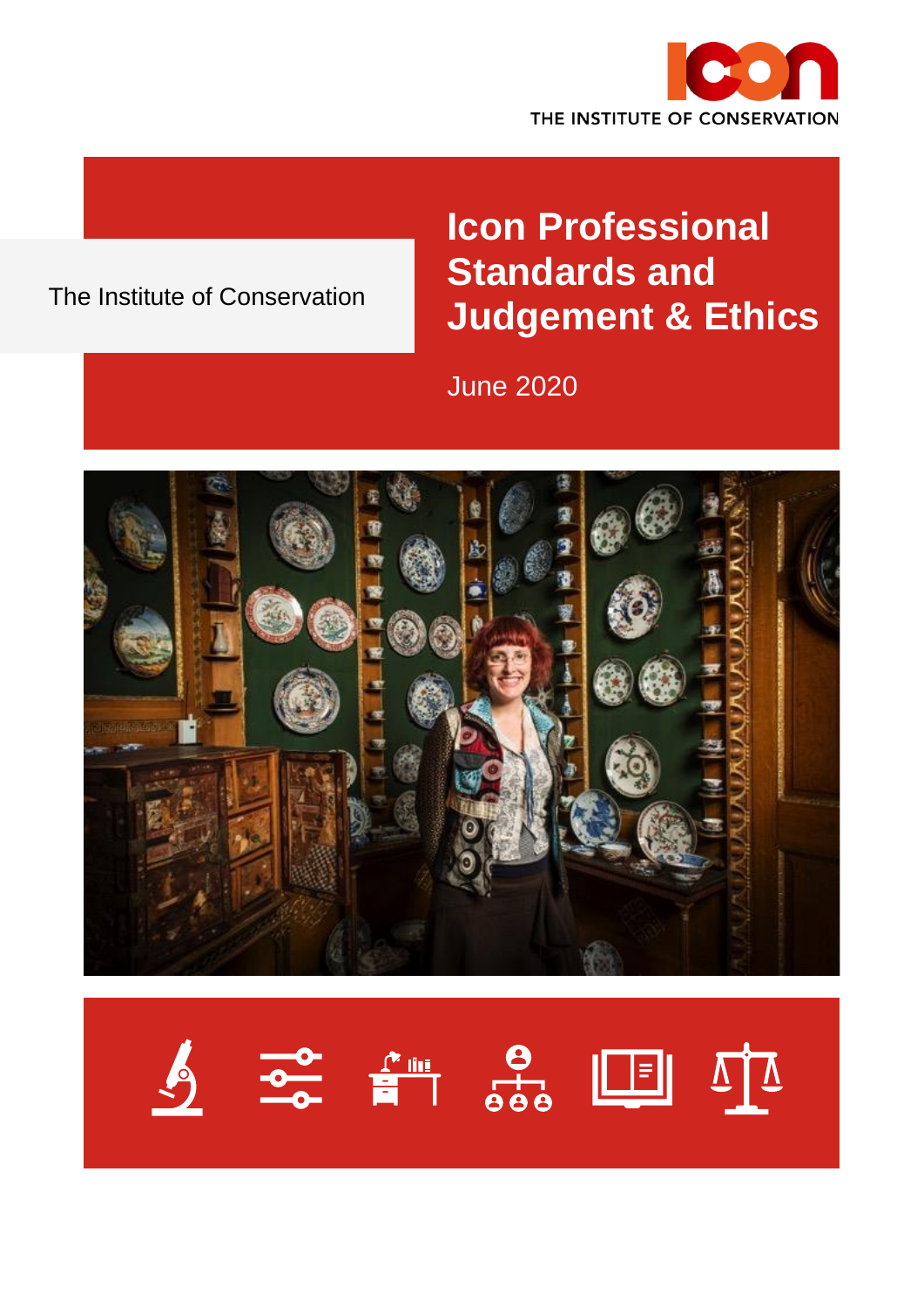

The Institute of Conservation

# **Icon Professional Standards and Judgement & Ethics**

June 2020



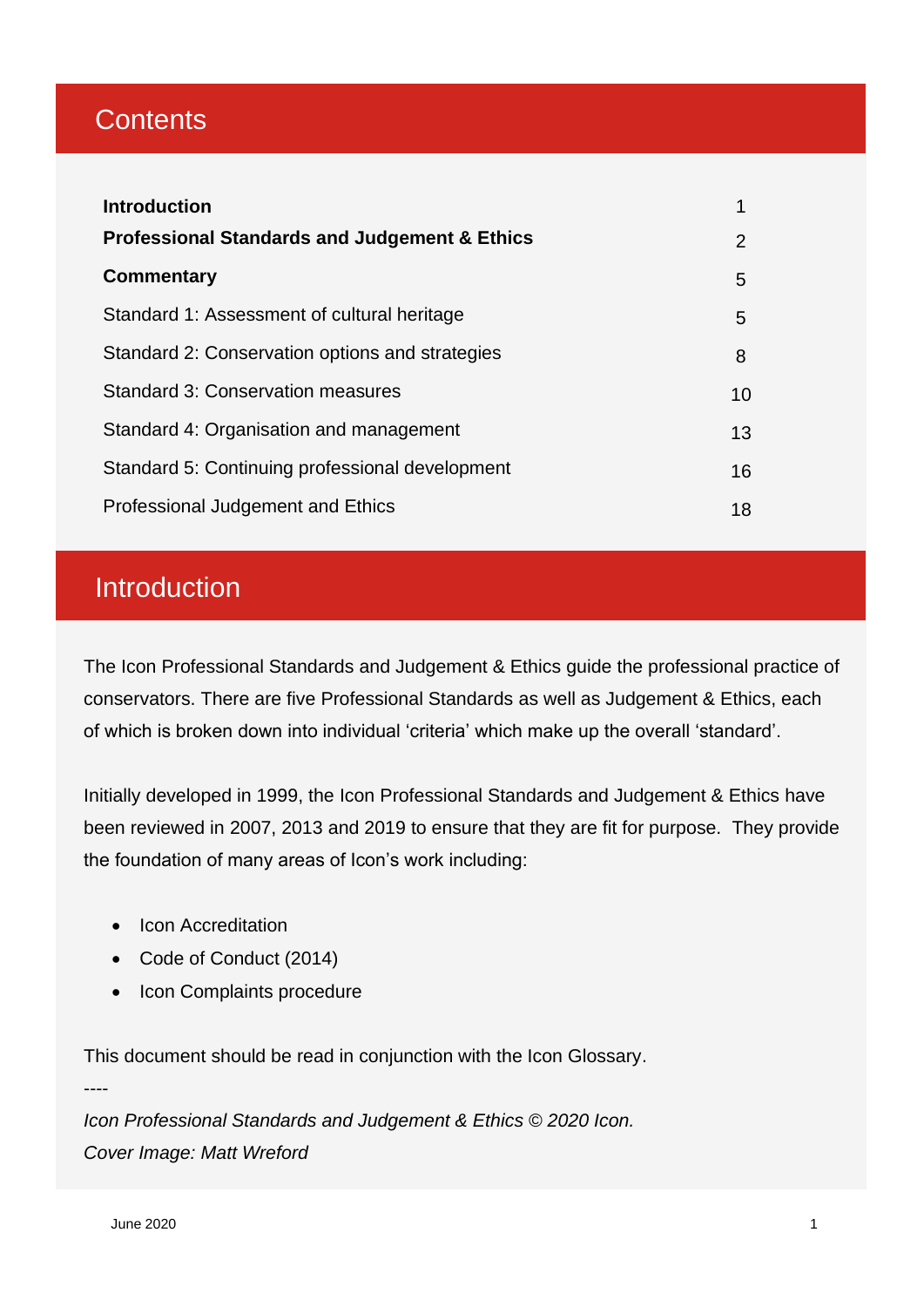## **Contents**

| <b>Introduction</b>                                      | 1             |
|----------------------------------------------------------|---------------|
| <b>Professional Standards and Judgement &amp; Ethics</b> | $\mathcal{P}$ |
| Commentary                                               | 5             |
| Standard 1: Assessment of cultural heritage              | 5             |
| Standard 2: Conservation options and strategies          | 8             |
| <b>Standard 3: Conservation measures</b>                 | 10            |
| Standard 4: Organisation and management                  | 13            |
| Standard 5: Continuing professional development          | 16            |
| Professional Judgement and Ethics                        | 18            |

## Introduction

The Icon Professional Standards and Judgement & Ethics guide the professional practice of conservators. There are five Professional Standards as well as Judgement & Ethics, each of which is broken down into individual 'criteria' which make up the overall 'standard'.

Initially developed in 1999, the Icon Professional Standards and Judgement & Ethics have been reviewed in 2007, 2013 and 2019 to ensure that they are fit for purpose. They provide the foundation of many areas of Icon's work including:

- Icon Accreditation
- Code of Conduct (2014)
- Icon Complaints procedure

This document should be read in conjunction with the Icon Glossary.

----

*Icon Professional Standards and Judgement & Ethics © 2020 Icon. Cover Image: Matt Wreford*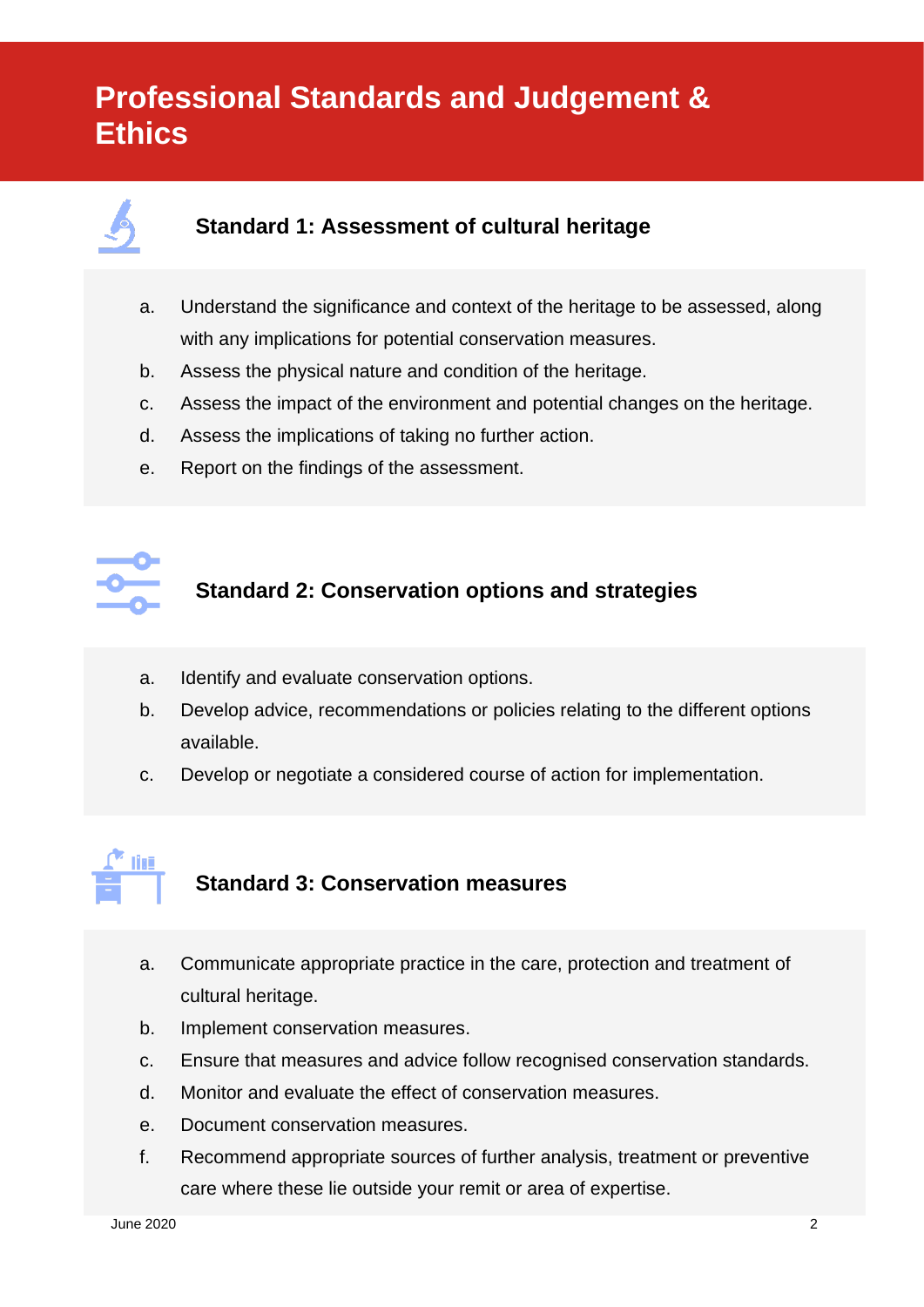## **Professional Standards and Judgement & Ethics**



## **Standard 1: Assessment of cultural heritage**

- a. Understand the significance and context of the heritage to be assessed, along with any implications for potential conservation measures.
- b. Assess the physical nature and condition of the heritage.
- c. Assess the impact of the environment and potential changes on the heritage.
- d. Assess the implications of taking no further action.
- e. Report on the findings of the assessment.



## **Standard 2: Conservation options and strategies**

- a. Identify and evaluate conservation options.
- b. Develop advice, recommendations or policies relating to the different options available.
- c. Develop or negotiate a considered course of action for implementation.



- a. Communicate appropriate practice in the care, protection and treatment of cultural heritage.
- b. Implement conservation measures.
- c. Ensure that measures and advice follow recognised conservation standards.
- d. Monitor and evaluate the effect of conservation measures.
- e. Document conservation measures.
- f. Recommend appropriate sources of further analysis, treatment or preventive care where these lie outside your remit or area of expertise.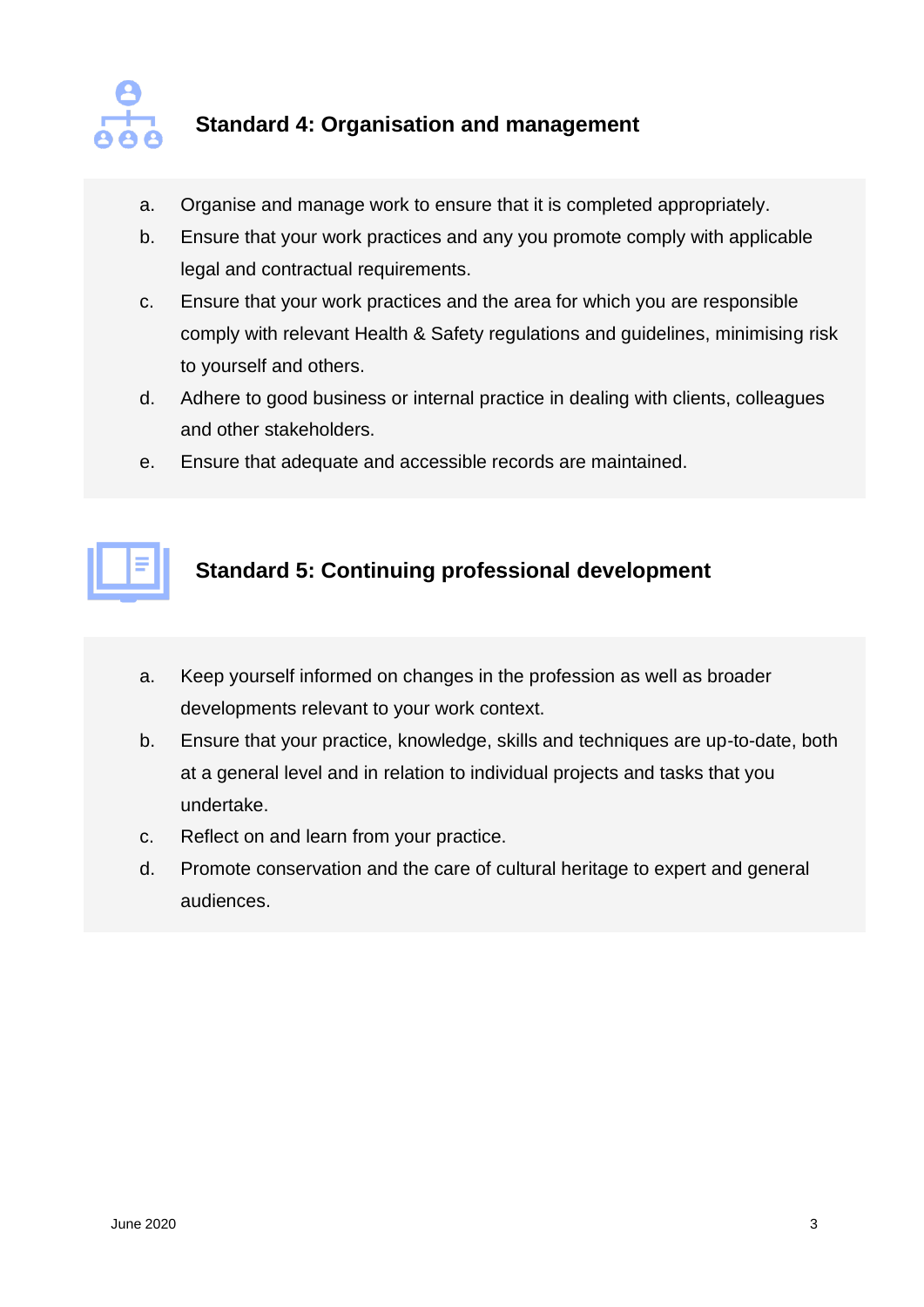

## **Standard 4: Organisation and management**

- a. Organise and manage work to ensure that it is completed appropriately.
- b. Ensure that your work practices and any you promote comply with applicable legal and contractual requirements.
- c. Ensure that your work practices and the area for which you are responsible comply with relevant Health & Safety regulations and guidelines, minimising risk to yourself and others.
- d. Adhere to good business or internal practice in dealing with clients, colleagues and other stakeholders.
- e. Ensure that adequate and accessible records are maintained.



## **Standard 5: Continuing professional development**

- a. Keep yourself informed on changes in the profession as well as broader developments relevant to your work context.
- b. Ensure that your practice, knowledge, skills and techniques are up-to-date, both at a general level and in relation to individual projects and tasks that you undertake.
- c. Reflect on and learn from your practice.
- d. Promote conservation and the care of cultural heritage to expert and general audiences.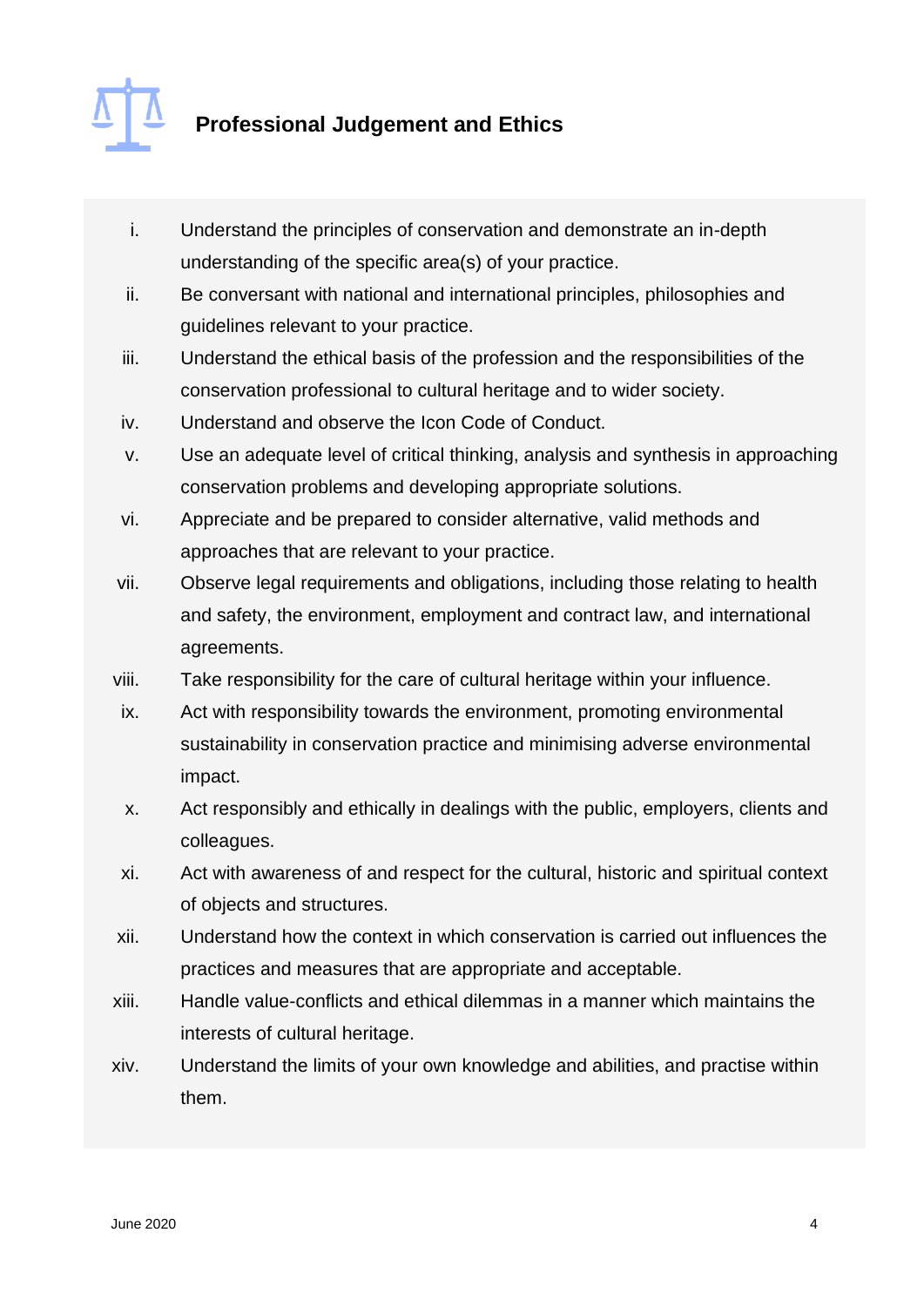

## **Professional Judgement and Ethics**

- i. Understand the principles of conservation and demonstrate an in-depth understanding of the specific area(s) of your practice.
- ii. Be conversant with national and international principles, philosophies and guidelines relevant to your practice.
- iii. Understand the ethical basis of the profession and the responsibilities of the conservation professional to cultural heritage and to wider society.
- iv. Understand and observe the Icon Code of Conduct.
- v. Use an adequate level of critical thinking, analysis and synthesis in approaching conservation problems and developing appropriate solutions.
- vi. Appreciate and be prepared to consider alternative, valid methods and approaches that are relevant to your practice.
- vii. Observe legal requirements and obligations, including those relating to health and safety, the environment, employment and contract law, and international agreements.
- viii. Take responsibility for the care of cultural heritage within your influence.
- ix. Act with responsibility towards the environment, promoting environmental sustainability in conservation practice and minimising adverse environmental impact.
- x. Act responsibly and ethically in dealings with the public, employers, clients and colleagues.
- xi. Act with awareness of and respect for the cultural, historic and spiritual context of objects and structures.
- xii. Understand how the context in which conservation is carried out influences the practices and measures that are appropriate and acceptable.
- xiii. Handle value-conflicts and ethical dilemmas in a manner which maintains the interests of cultural heritage.
- xiv. Understand the limits of your own knowledge and abilities, and practise within them.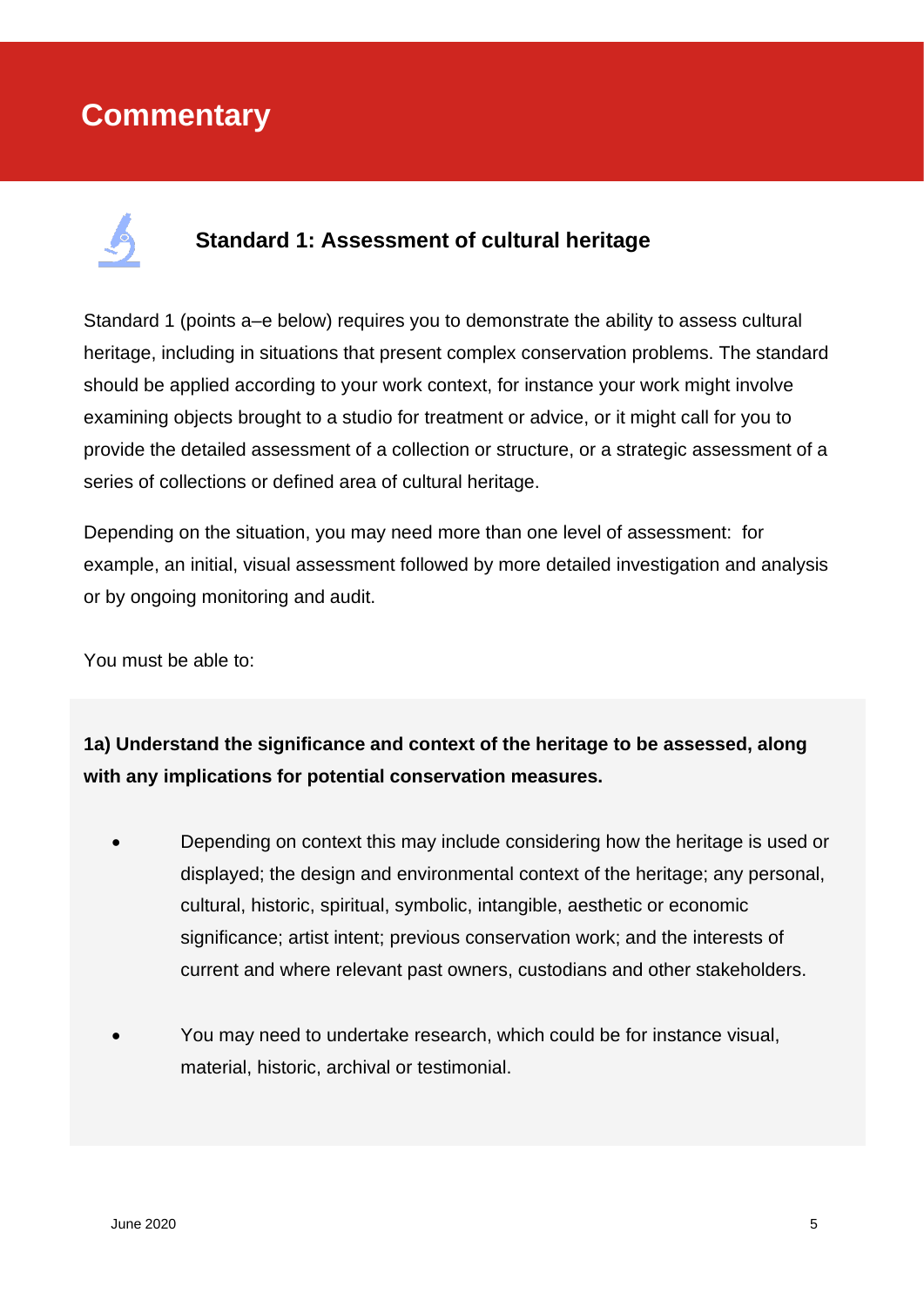## **Commentary**



### **Standard 1: Assessment of cultural heritage**

Standard 1 (points a–e below) requires you to demonstrate the ability to assess cultural heritage, including in situations that present complex conservation problems. The standard should be applied according to your work context, for instance your work might involve examining objects brought to a studio for treatment or advice, or it might call for you to provide the detailed assessment of a collection or structure, or a strategic assessment of a series of collections or defined area of cultural heritage.

Depending on the situation, you may need more than one level of assessment: for example, an initial, visual assessment followed by more detailed investigation and analysis or by ongoing monitoring and audit.

You must be able to:

**1a) Understand the significance and context of the heritage to be assessed, along with any implications for potential conservation measures.**

- Depending on context this may include considering how the heritage is used or displayed; the design and environmental context of the heritage; any personal, cultural, historic, spiritual, symbolic, intangible, aesthetic or economic significance; artist intent; previous conservation work; and the interests of current and where relevant past owners, custodians and other stakeholders.
- You may need to undertake research, which could be for instance visual, material, historic, archival or testimonial.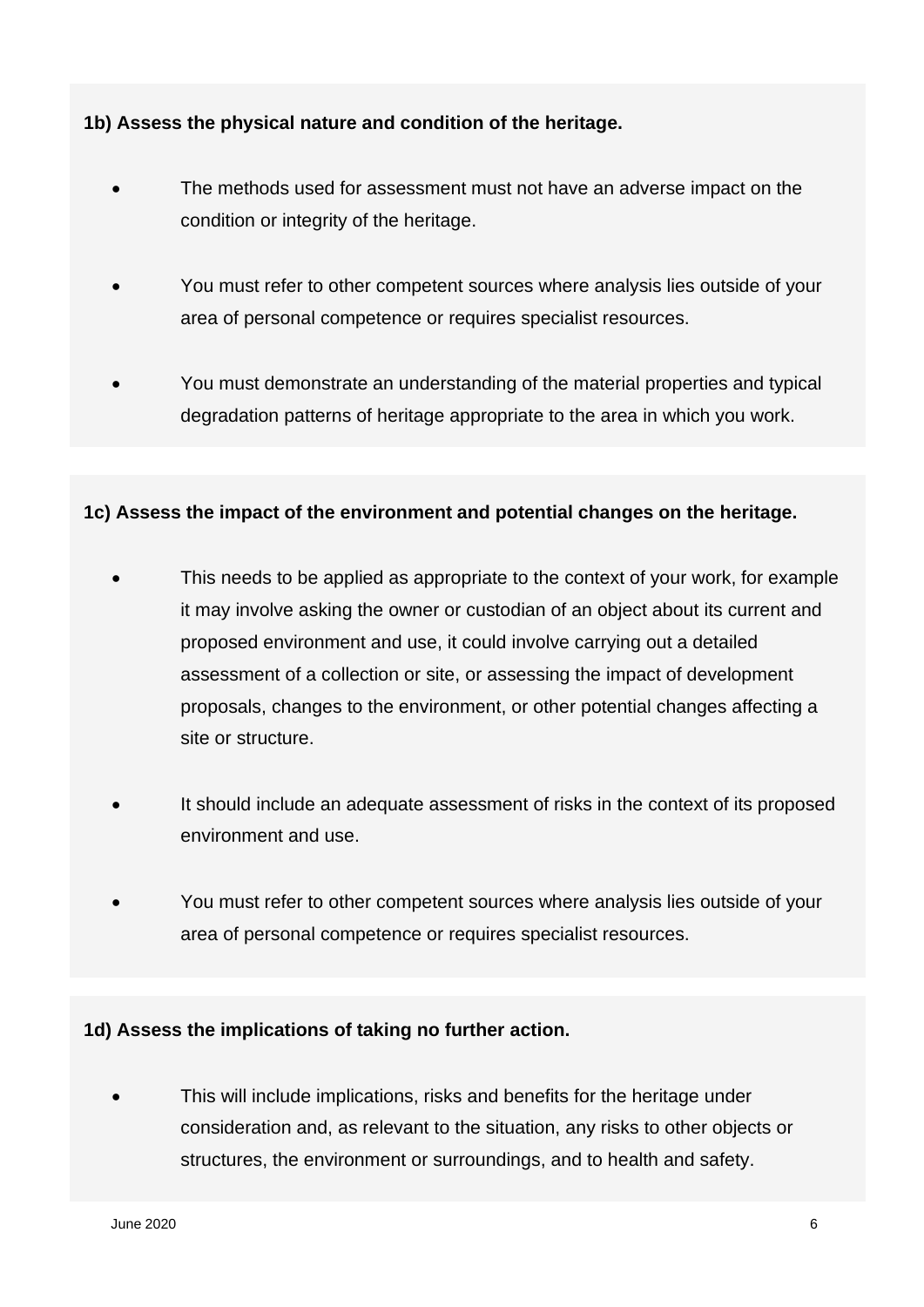#### **1b) Assess the physical nature and condition of the heritage.**

- The methods used for assessment must not have an adverse impact on the condition or integrity of the heritage.
- You must refer to other competent sources where analysis lies outside of your area of personal competence or requires specialist resources.
- You must demonstrate an understanding of the material properties and typical degradation patterns of heritage appropriate to the area in which you work.

#### **1c) Assess the impact of the environment and potential changes on the heritage.**

- This needs to be applied as appropriate to the context of your work, for example it may involve asking the owner or custodian of an object about its current and proposed environment and use, it could involve carrying out a detailed assessment of a collection or site, or assessing the impact of development proposals, changes to the environment, or other potential changes affecting a site or structure.
- It should include an adequate assessment of risks in the context of its proposed environment and use.
- You must refer to other competent sources where analysis lies outside of your area of personal competence or requires specialist resources.

#### **1d) Assess the implications of taking no further action.**

This will include implications, risks and benefits for the heritage under consideration and, as relevant to the situation, any risks to other objects or structures, the environment or surroundings, and to health and safety.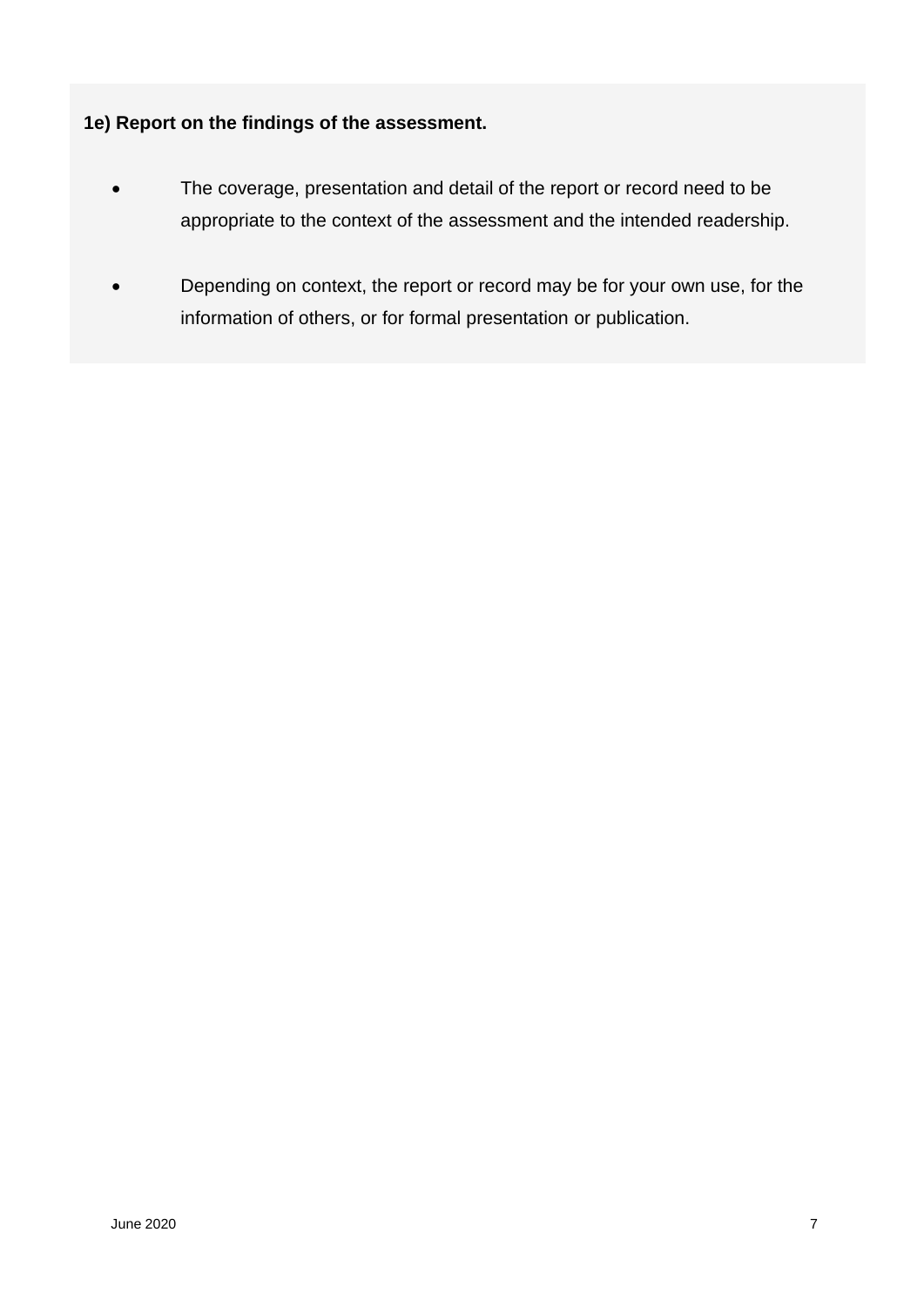#### **1e) Report on the findings of the assessment.**

- The coverage, presentation and detail of the report or record need to be appropriate to the context of the assessment and the intended readership.
- Depending on context, the report or record may be for your own use, for the information of others, or for formal presentation or publication.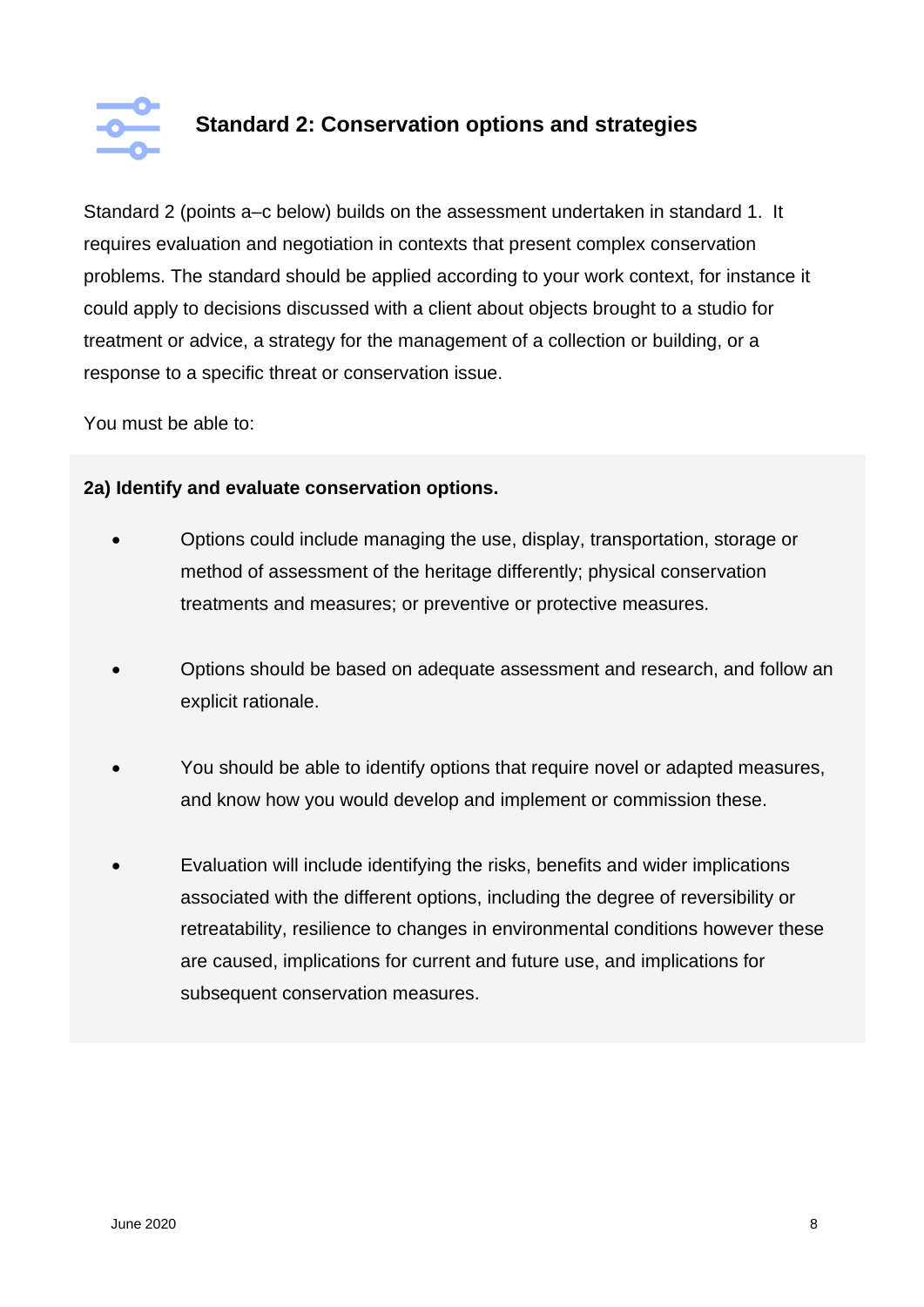

### **Standard 2: Conservation options and strategies**

Standard 2 (points a–c below) builds on the assessment undertaken in standard 1. It requires evaluation and negotiation in contexts that present complex conservation problems. The standard should be applied according to your work context, for instance it could apply to decisions discussed with a client about objects brought to a studio for treatment or advice, a strategy for the management of a collection or building, or a response to a specific threat or conservation issue.

You must be able to:

#### **2a) Identify and evaluate conservation options.**

- Options could include managing the use, display, transportation, storage or method of assessment of the heritage differently; physical conservation treatments and measures; or preventive or protective measures.
- Options should be based on adequate assessment and research, and follow an explicit rationale.
- You should be able to identify options that require novel or adapted measures, and know how you would develop and implement or commission these.
- Evaluation will include identifying the risks, benefits and wider implications associated with the different options, including the degree of reversibility or retreatability, resilience to changes in environmental conditions however these are caused, implications for current and future use, and implications for subsequent conservation measures.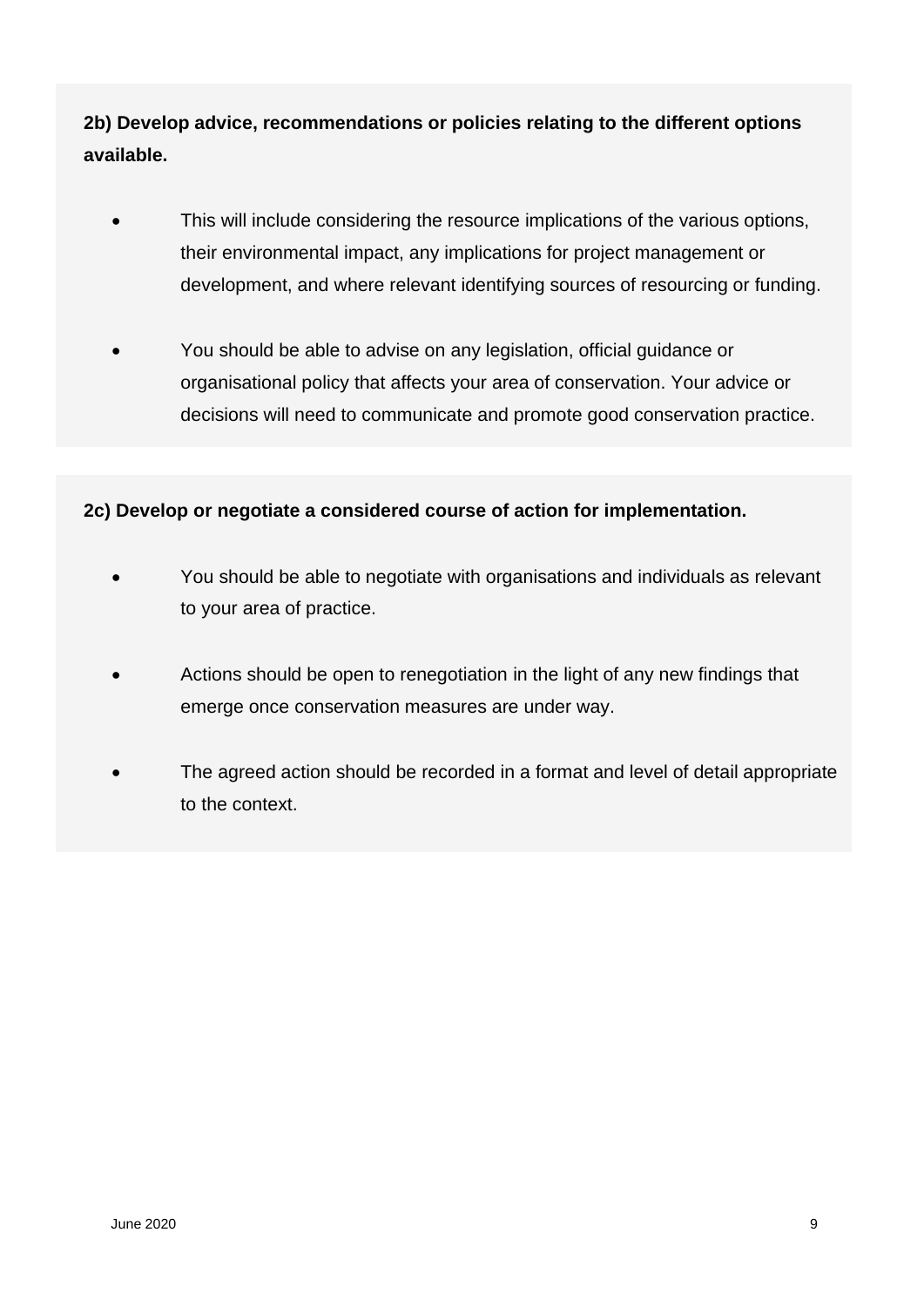**2b) Develop advice, recommendations or policies relating to the different options available.**

- This will include considering the resource implications of the various options, their environmental impact, any implications for project management or development, and where relevant identifying sources of resourcing or funding.
- You should be able to advise on any legislation, official guidance or organisational policy that affects your area of conservation. Your advice or decisions will need to communicate and promote good conservation practice.

#### **2c) Develop or negotiate a considered course of action for implementation.**

- You should be able to negotiate with organisations and individuals as relevant to your area of practice.
- Actions should be open to renegotiation in the light of any new findings that emerge once conservation measures are under way.
- The agreed action should be recorded in a format and level of detail appropriate to the context.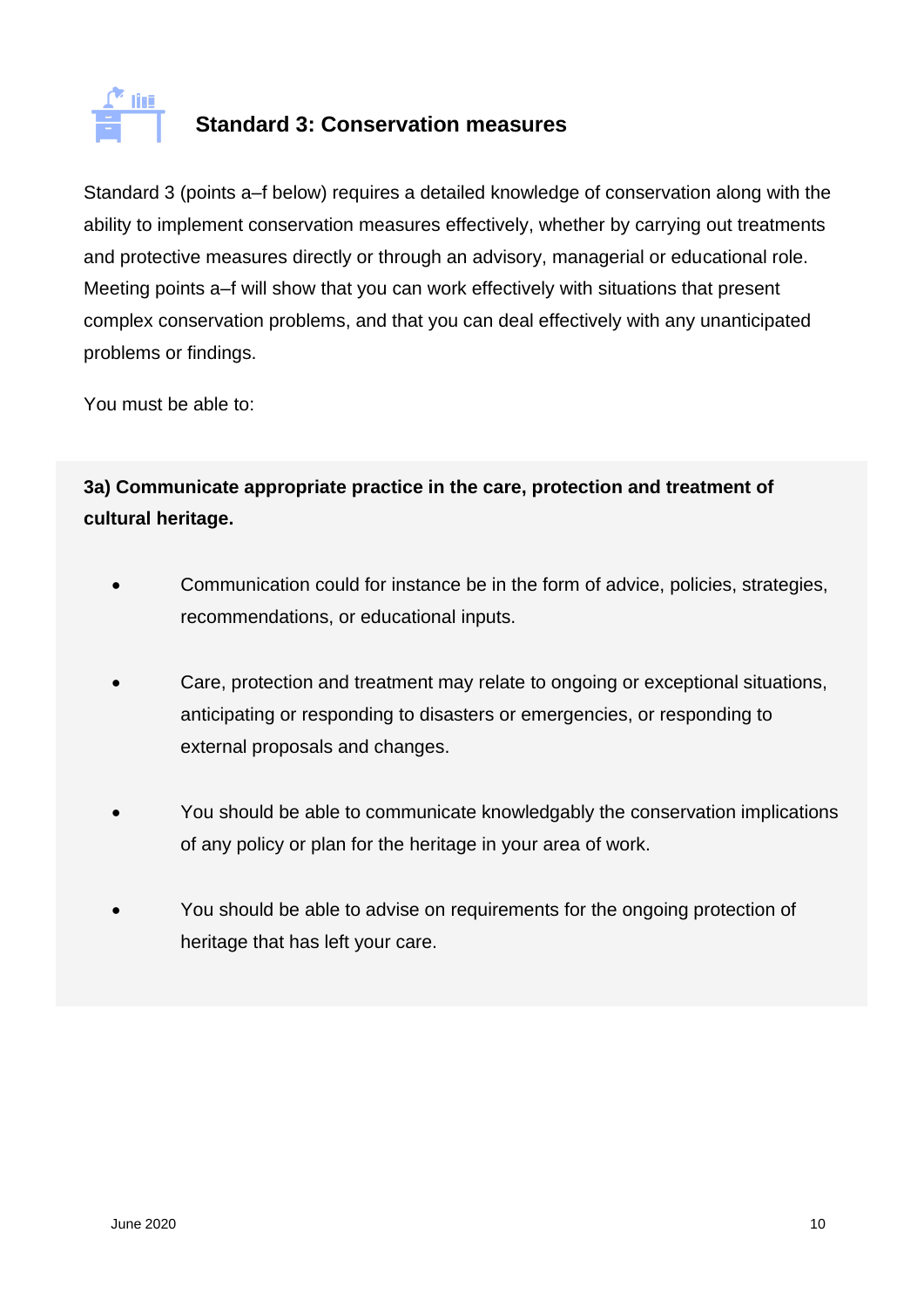

Standard 3 (points a–f below) requires a detailed knowledge of conservation along with the ability to implement conservation measures effectively, whether by carrying out treatments and protective measures directly or through an advisory, managerial or educational role. Meeting points a–f will show that you can work effectively with situations that present complex conservation problems, and that you can deal effectively with any unanticipated problems or findings.

You must be able to:

**3a) Communicate appropriate practice in the care, protection and treatment of cultural heritage.**

- Communication could for instance be in the form of advice, policies, strategies, recommendations, or educational inputs.
- Care, protection and treatment may relate to ongoing or exceptional situations, anticipating or responding to disasters or emergencies, or responding to external proposals and changes.
- You should be able to communicate knowledgably the conservation implications of any policy or plan for the heritage in your area of work.
- You should be able to advise on requirements for the ongoing protection of heritage that has left your care.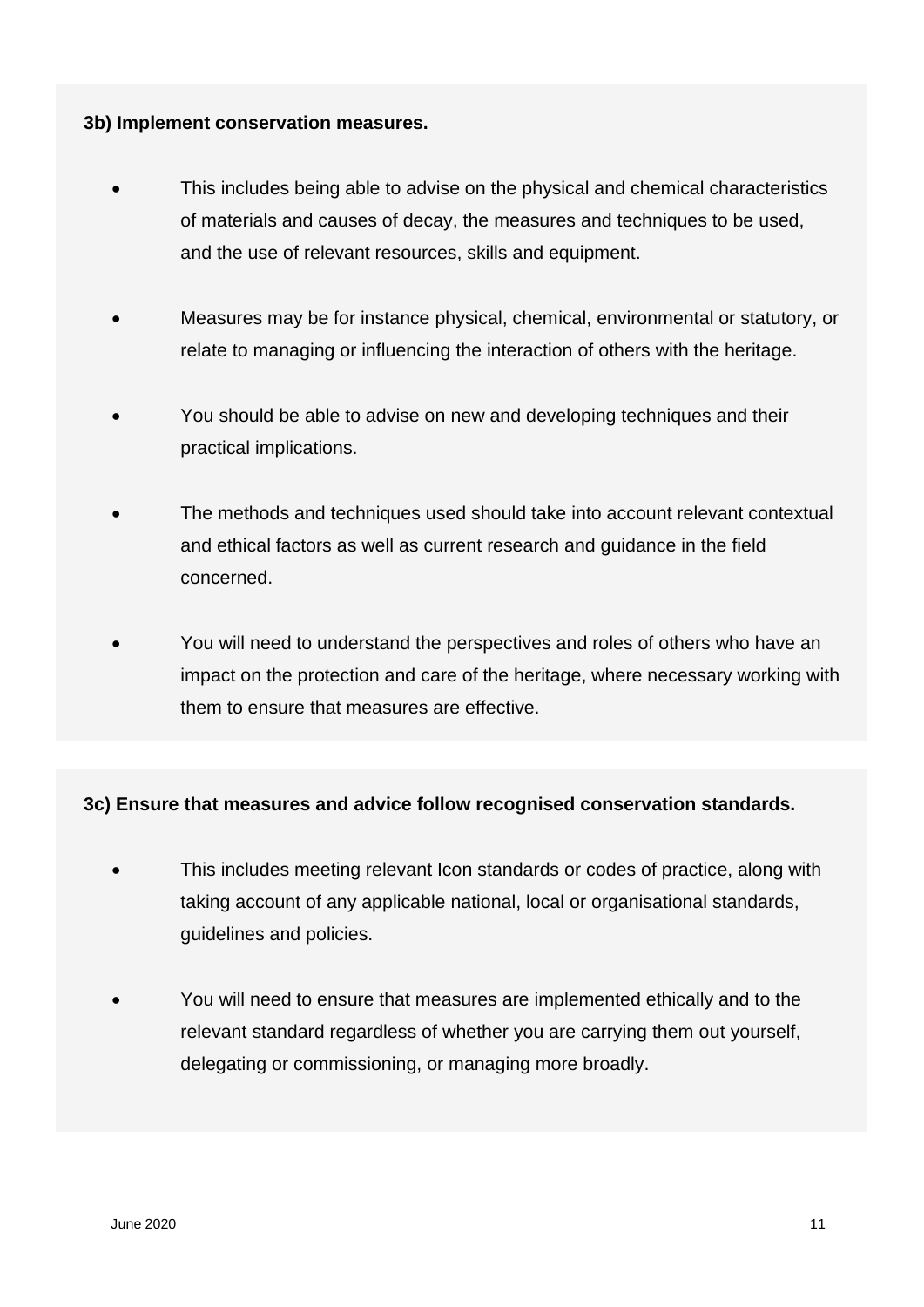#### **3b) Implement conservation measures.**

- This includes being able to advise on the physical and chemical characteristics of materials and causes of decay, the measures and techniques to be used, and the use of relevant resources, skills and equipment.
- Measures may be for instance physical, chemical, environmental or statutory, or relate to managing or influencing the interaction of others with the heritage.
- You should be able to advise on new and developing techniques and their practical implications.
- The methods and techniques used should take into account relevant contextual and ethical factors as well as current research and guidance in the field concerned.
- You will need to understand the perspectives and roles of others who have an impact on the protection and care of the heritage, where necessary working with them to ensure that measures are effective.

#### **3c) Ensure that measures and advice follow recognised conservation standards.**

- This includes meeting relevant Icon standards or codes of practice, along with taking account of any applicable national, local or organisational standards, guidelines and policies.
- You will need to ensure that measures are implemented ethically and to the relevant standard regardless of whether you are carrying them out yourself, delegating or commissioning, or managing more broadly.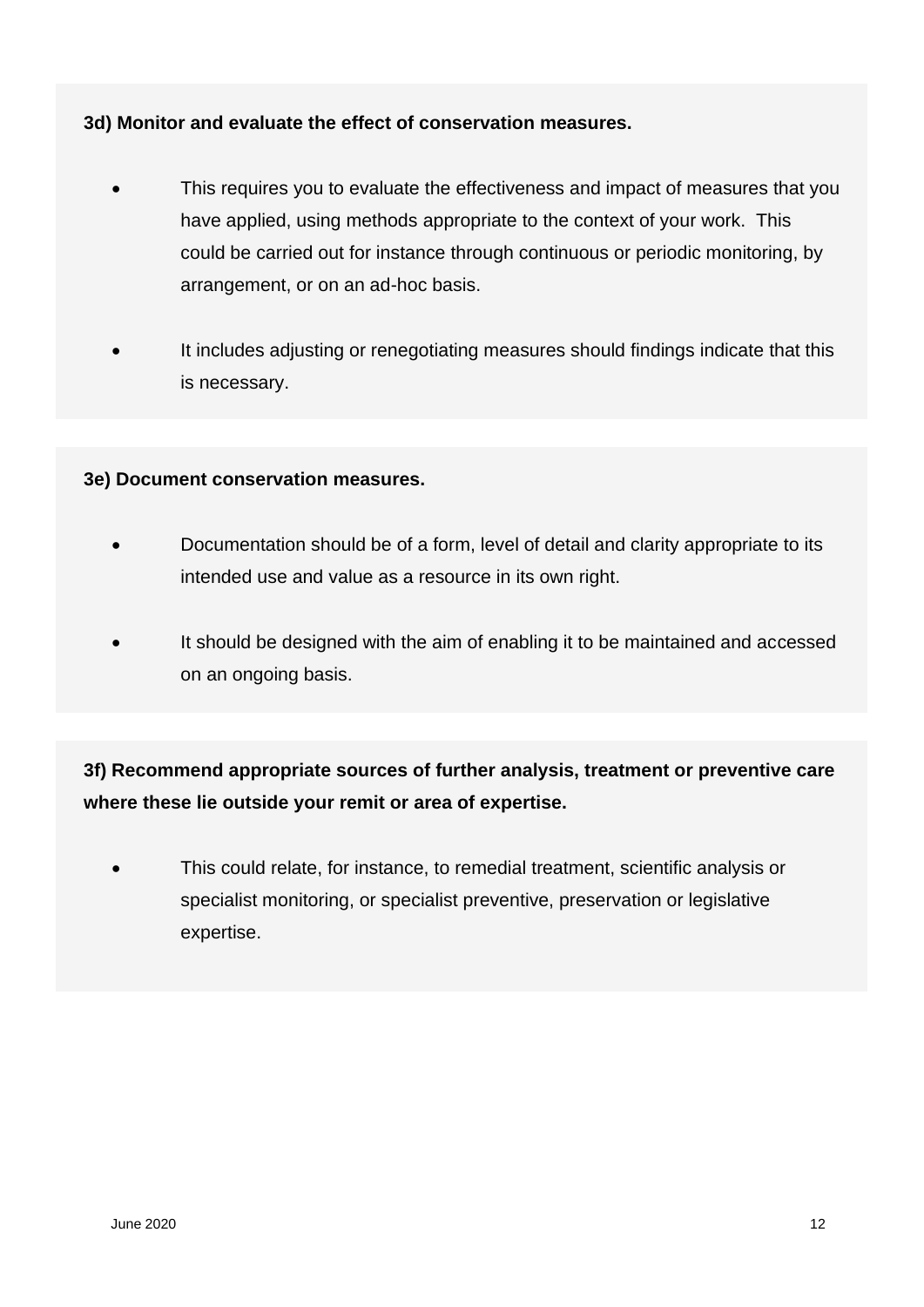#### **3d) Monitor and evaluate the effect of conservation measures.**

- This requires you to evaluate the effectiveness and impact of measures that you have applied, using methods appropriate to the context of your work. This could be carried out for instance through continuous or periodic monitoring, by arrangement, or on an ad-hoc basis.
- It includes adjusting or renegotiating measures should findings indicate that this is necessary.

#### **3e) Document conservation measures.**

- Documentation should be of a form, level of detail and clarity appropriate to its intended use and value as a resource in its own right.
- It should be designed with the aim of enabling it to be maintained and accessed on an ongoing basis.

**3f) Recommend appropriate sources of further analysis, treatment or preventive care where these lie outside your remit or area of expertise.**

• This could relate, for instance, to remedial treatment, scientific analysis or specialist monitoring, or specialist preventive, preservation or legislative expertise.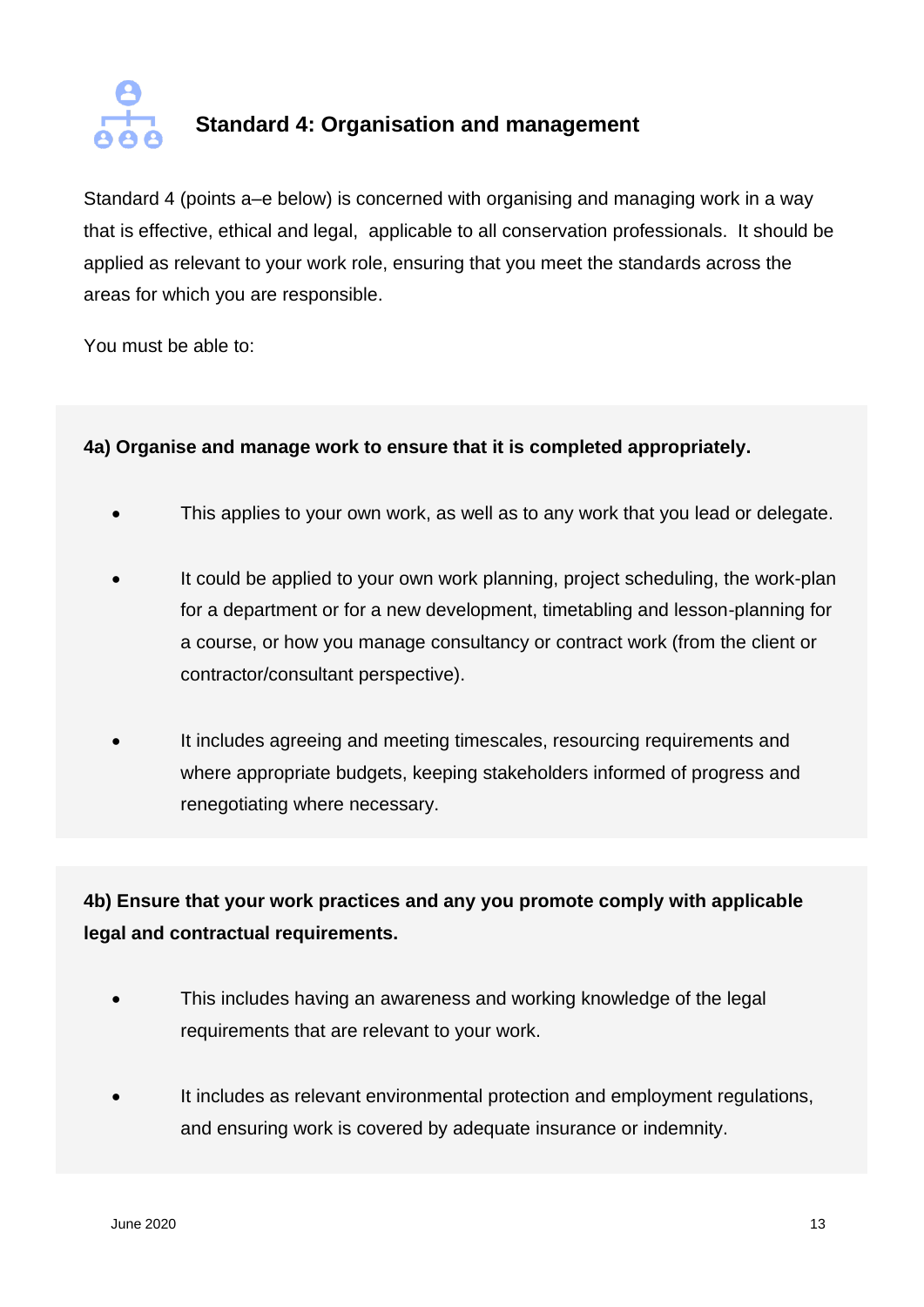

## **Standard 4: Organisation and management**

Standard 4 (points a–e below) is concerned with organising and managing work in a way that is effective, ethical and legal, applicable to all conservation professionals. It should be applied as relevant to your work role, ensuring that you meet the standards across the areas for which you are responsible.

You must be able to:

#### **4a) Organise and manage work to ensure that it is completed appropriately.**

- This applies to your own work, as well as to any work that you lead or delegate.
- It could be applied to your own work planning, project scheduling, the work-plan for a department or for a new development, timetabling and lesson-planning for a course, or how you manage consultancy or contract work (from the client or contractor/consultant perspective).
- It includes agreeing and meeting timescales, resourcing requirements and where appropriate budgets, keeping stakeholders informed of progress and renegotiating where necessary.

**4b) Ensure that your work practices and any you promote comply with applicable legal and contractual requirements.**

- This includes having an awareness and working knowledge of the legal requirements that are relevant to your work.
- It includes as relevant environmental protection and employment regulations, and ensuring work is covered by adequate insurance or indemnity.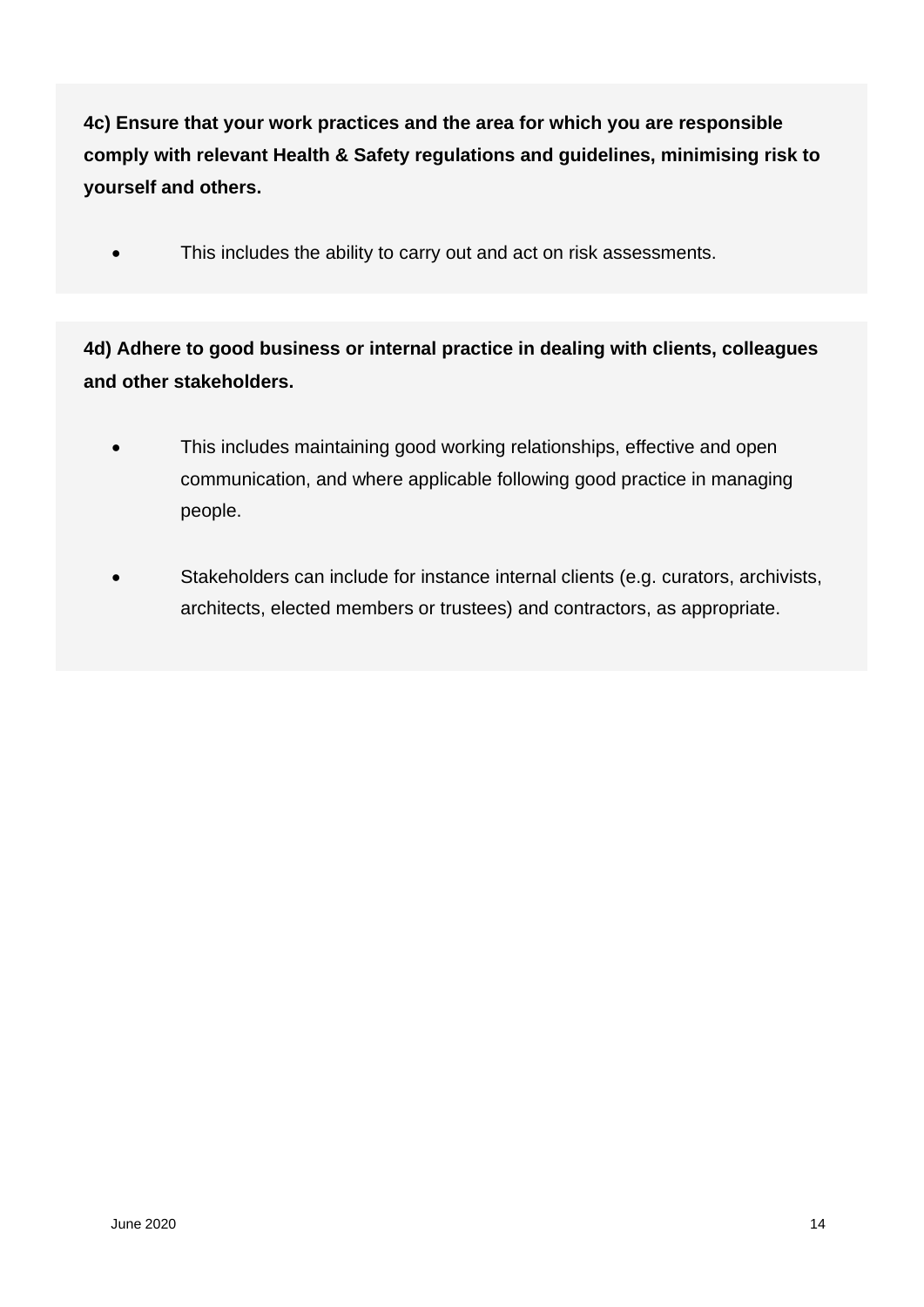**4c) Ensure that your work practices and the area for which you are responsible comply with relevant Health & Safety regulations and guidelines, minimising risk to yourself and others.**

• This includes the ability to carry out and act on risk assessments.

**4d) Adhere to good business or internal practice in dealing with clients, colleagues and other stakeholders.**

- This includes maintaining good working relationships, effective and open communication, and where applicable following good practice in managing people.
- Stakeholders can include for instance internal clients (e.g. curators, archivists, architects, elected members or trustees) and contractors, as appropriate.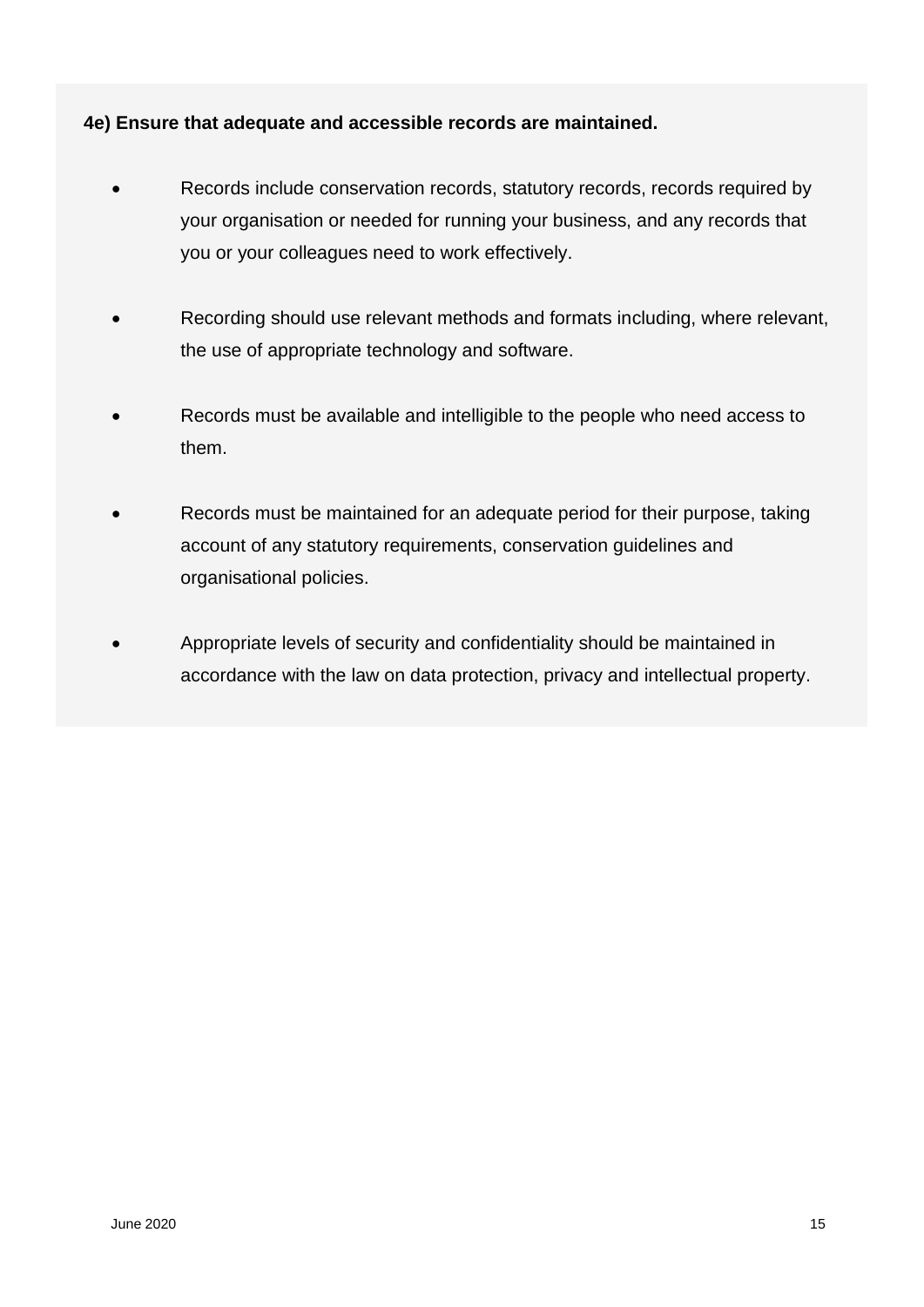#### **4e) Ensure that adequate and accessible records are maintained.**

- Records include conservation records, statutory records, records required by your organisation or needed for running your business, and any records that you or your colleagues need to work effectively.
- Recording should use relevant methods and formats including, where relevant, the use of appropriate technology and software.
- Records must be available and intelligible to the people who need access to them.
- Records must be maintained for an adequate period for their purpose, taking account of any statutory requirements, conservation guidelines and organisational policies.
- Appropriate levels of security and confidentiality should be maintained in accordance with the law on data protection, privacy and intellectual property.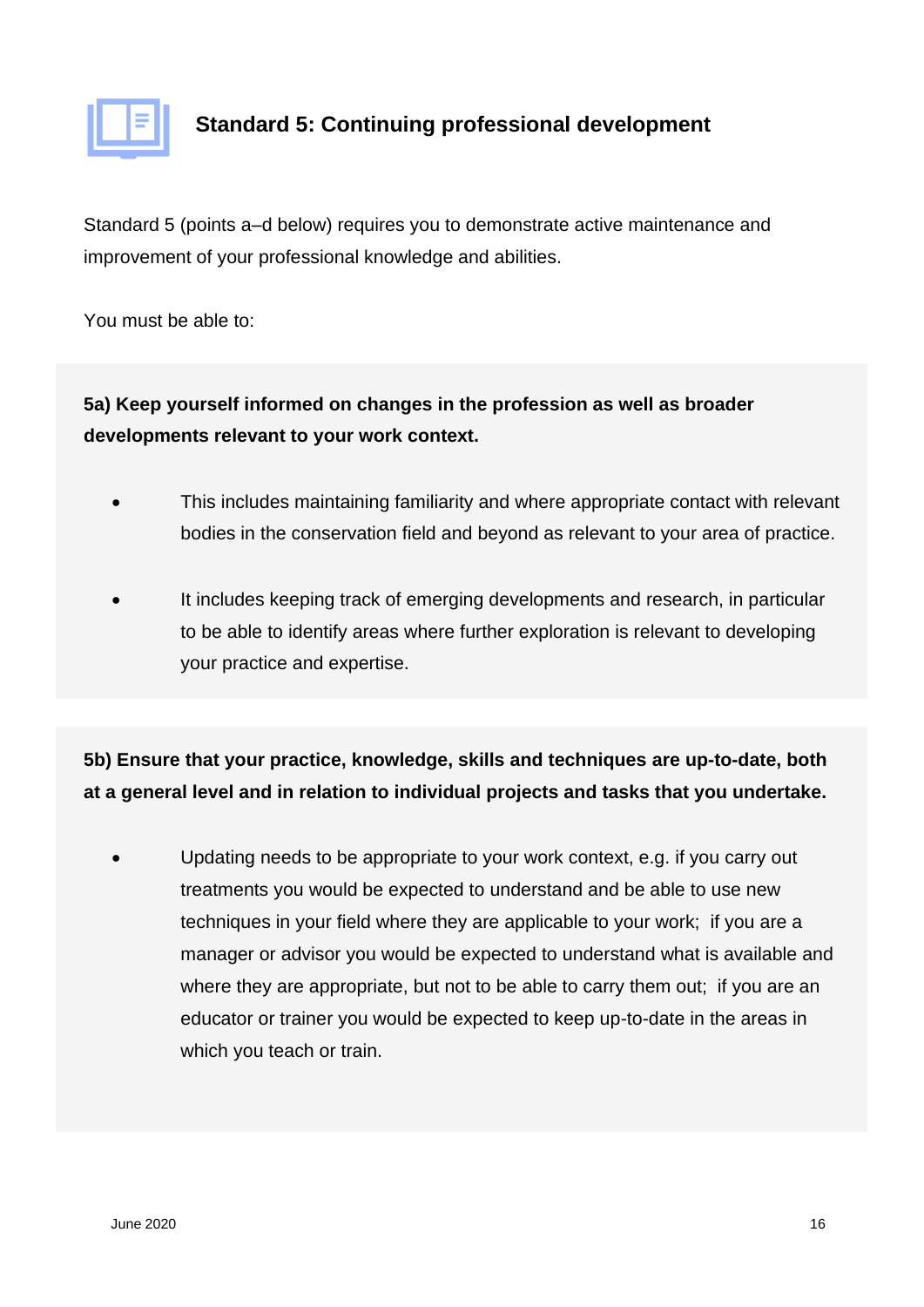

## **Standard 5: Continuing professional development**

Standard 5 (points a–d below) requires you to demonstrate active maintenance and improvement of your professional knowledge and abilities.

You must be able to:

### **5a) Keep yourself informed on changes in the profession as well as broader developments relevant to your work context.**

- This includes maintaining familiarity and where appropriate contact with relevant bodies in the conservation field and beyond as relevant to your area of practice.
- It includes keeping track of emerging developments and research, in particular to be able to identify areas where further exploration is relevant to developing your practice and expertise.

**5b) Ensure that your practice, knowledge, skills and techniques are up-to-date, both at a general level and in relation to individual projects and tasks that you undertake.**

• Updating needs to be appropriate to your work context, e.g. if you carry out treatments you would be expected to understand and be able to use new techniques in your field where they are applicable to your work; if you are a manager or advisor you would be expected to understand what is available and where they are appropriate, but not to be able to carry them out; if you are an educator or trainer you would be expected to keep up-to-date in the areas in which you teach or train.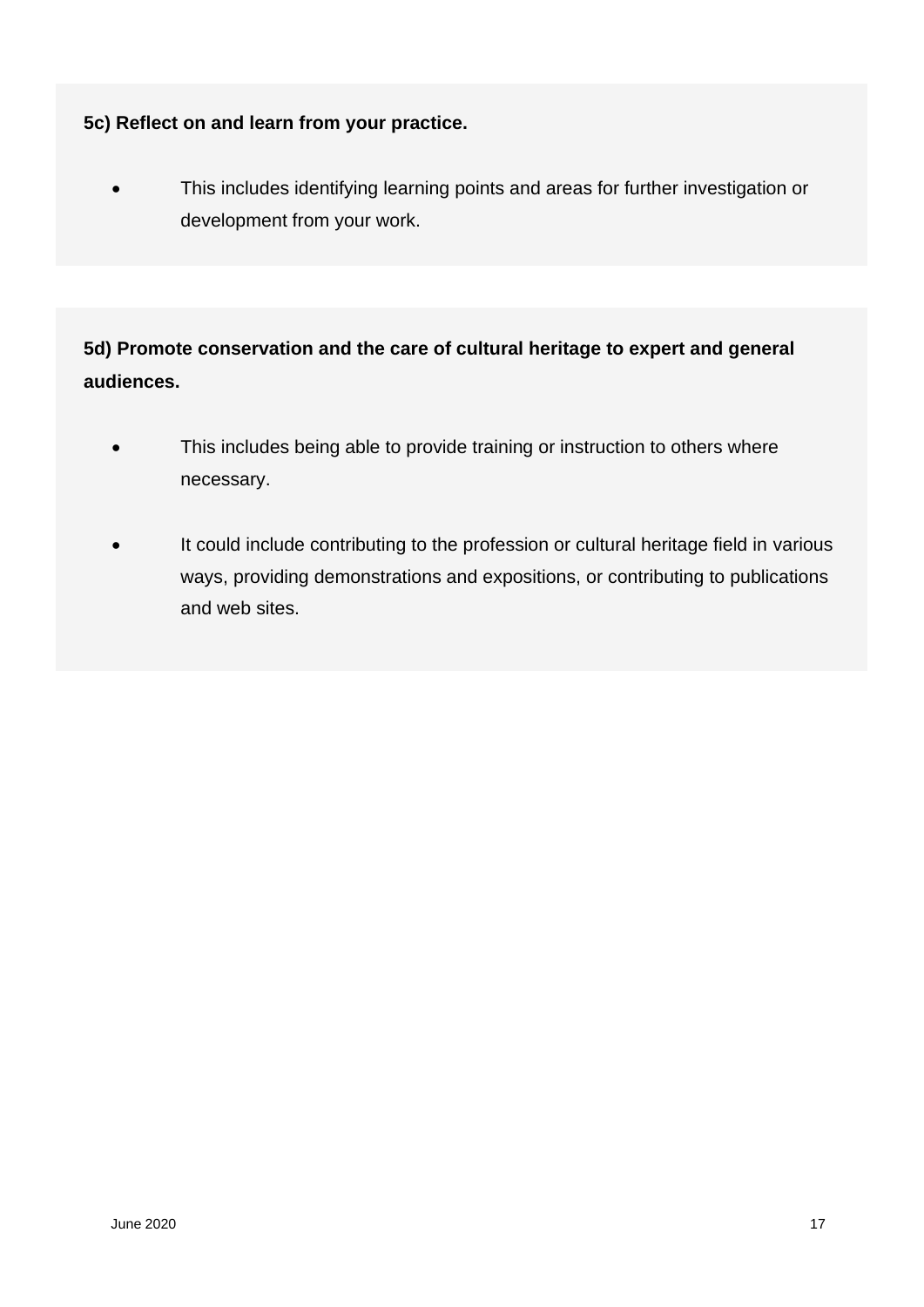#### **5c) Reflect on and learn from your practice.**

• This includes identifying learning points and areas for further investigation or development from your work.

### **5d) Promote conservation and the care of cultural heritage to expert and general audiences.**

- This includes being able to provide training or instruction to others where necessary.
- It could include contributing to the profession or cultural heritage field in various ways, providing demonstrations and expositions, or contributing to publications and web sites.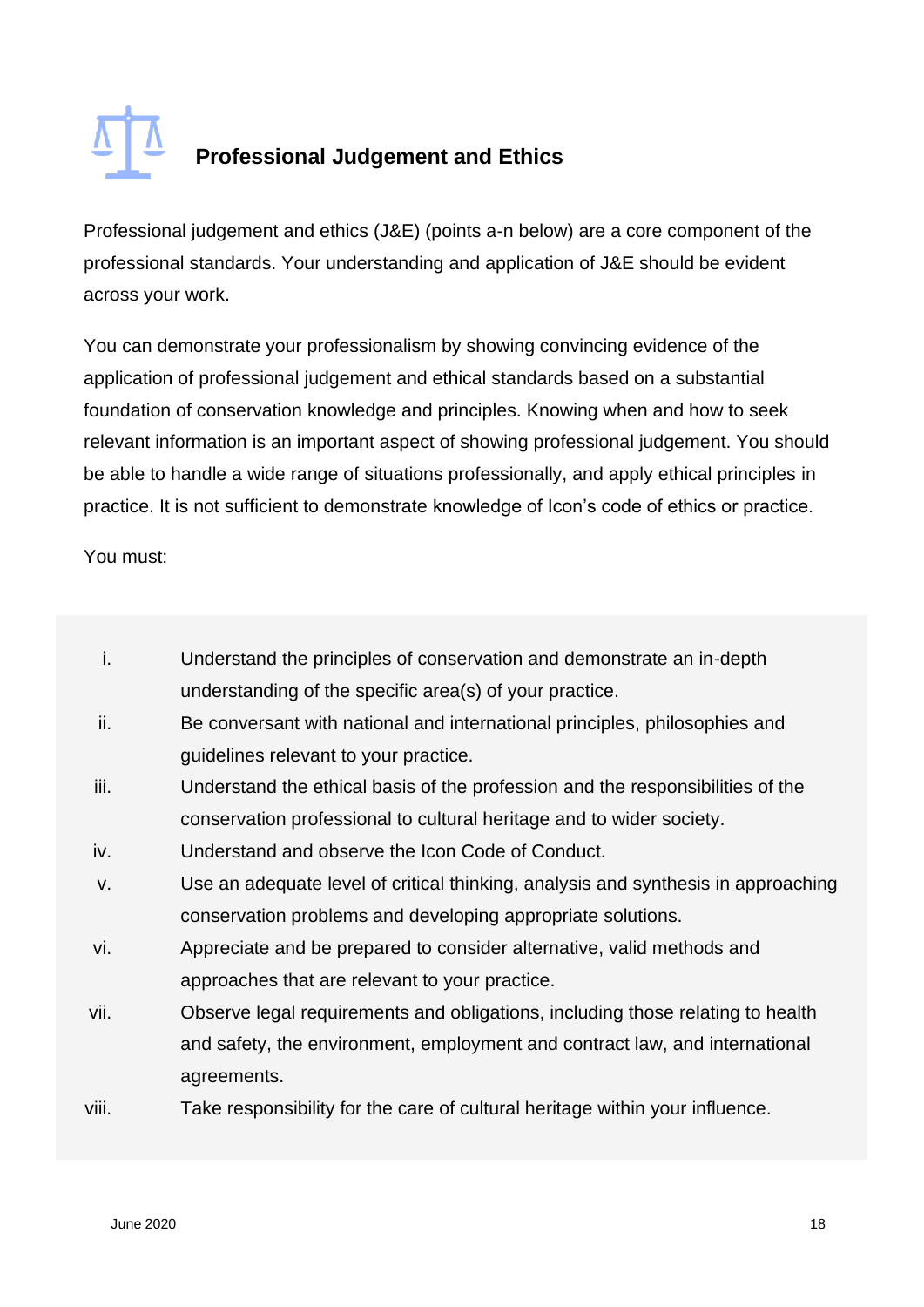

## **Professional Judgement and Ethics**

Professional judgement and ethics (J&E) (points a-n below) are a core component of the professional standards. Your understanding and application of J&E should be evident across your work.

You can demonstrate your professionalism by showing convincing evidence of the application of professional judgement and ethical standards based on a substantial foundation of conservation knowledge and principles. Knowing when and how to seek relevant information is an important aspect of showing professional judgement. You should be able to handle a wide range of situations professionally, and apply ethical principles in practice. It is not sufficient to demonstrate knowledge of Icon's code of ethics or practice.

You must:

| $\mathbf{L}$ | Understand the principles of conservation and demonstrate an in-depth |
|--------------|-----------------------------------------------------------------------|
|              | understanding of the specific area(s) of your practice.               |

- ii. Be conversant with national and international principles, philosophies and guidelines relevant to your practice.
- iii. Understand the ethical basis of the profession and the responsibilities of the conservation professional to cultural heritage and to wider society.
- iv. Understand and observe the Icon Code of Conduct.
- v. Use an adequate level of critical thinking, analysis and synthesis in approaching conservation problems and developing appropriate solutions.
- vi. Appreciate and be prepared to consider alternative, valid methods and approaches that are relevant to your practice.
- vii. Observe legal requirements and obligations, including those relating to health and safety, the environment, employment and contract law, and international agreements.
- viii. Take responsibility for the care of cultural heritage within your influence.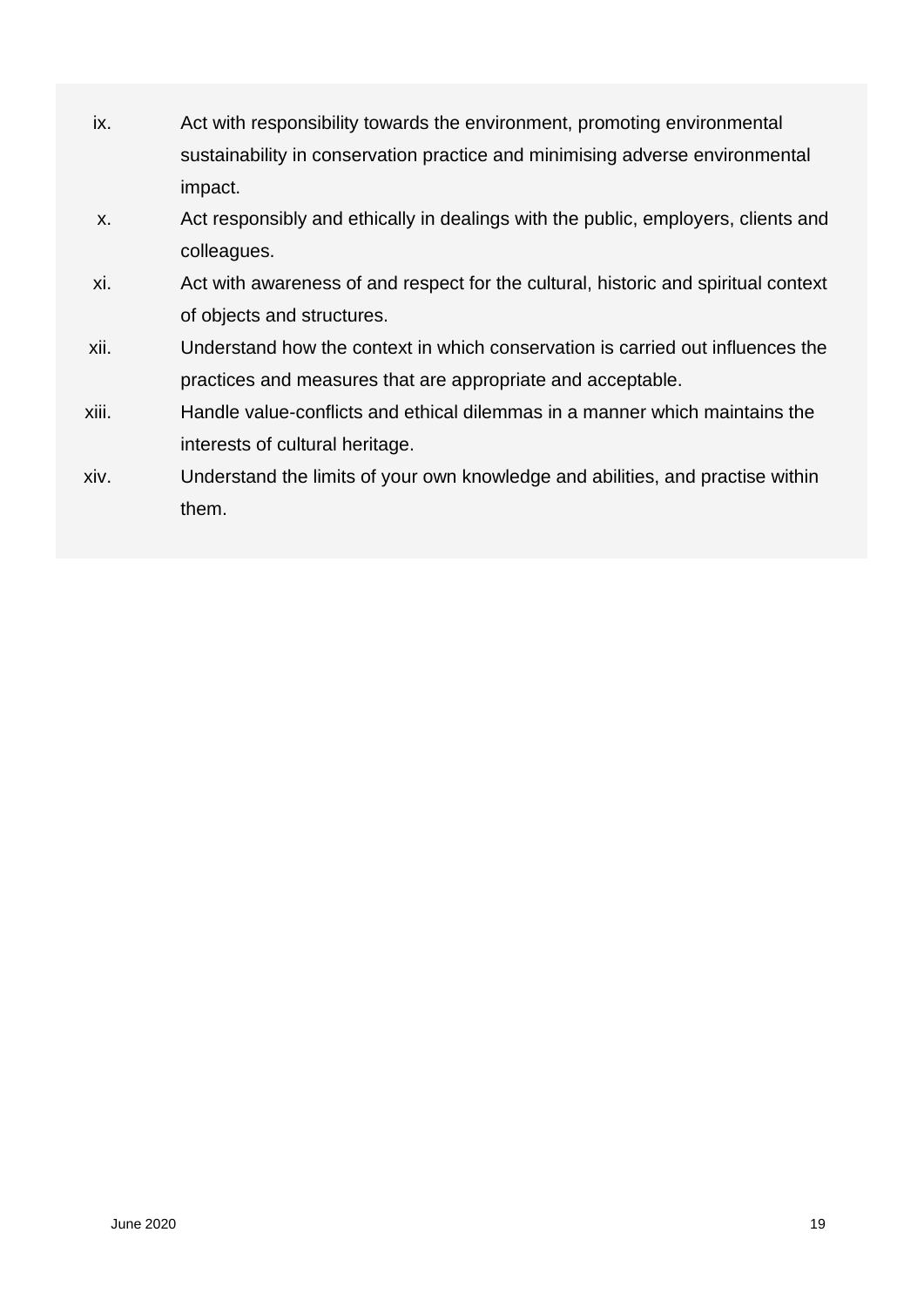- ix. Act with responsibility towards the environment, promoting environmental sustainability in conservation practice and minimising adverse environmental impact.
- x. Act responsibly and ethically in dealings with the public, employers, clients and colleagues.
- xi. Act with awareness of and respect for the cultural, historic and spiritual context of objects and structures.
- xii. Understand how the context in which conservation is carried out influences the practices and measures that are appropriate and acceptable.
- xiii. Handle value-conflicts and ethical dilemmas in a manner which maintains the interests of cultural heritage.
- xiv. Understand the limits of your own knowledge and abilities, and practise within them.